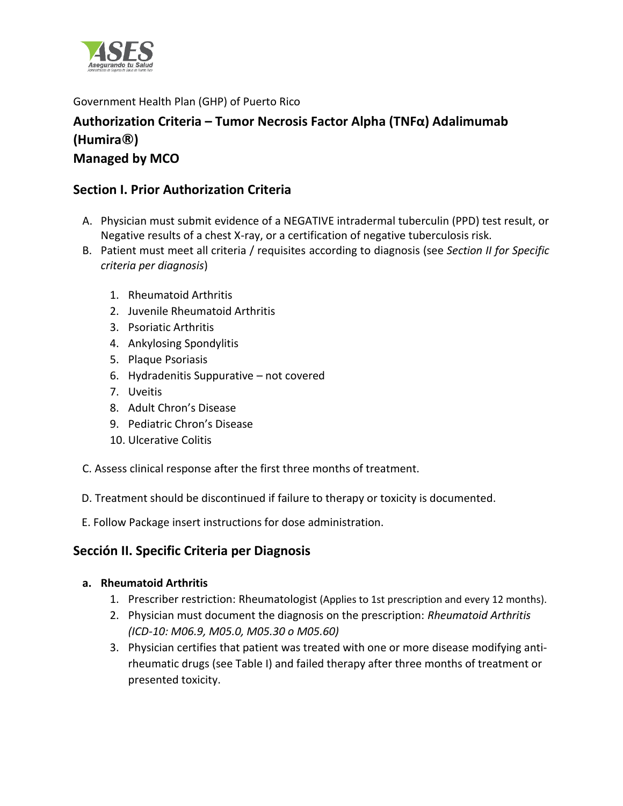

Government Health Plan (GHP) of Puerto Rico

# **Authorization Criteria – Tumor Necrosis Factor Alpha (TNFα) Adalimumab (Humira®) Managed by MCO**

## **Section I. Prior Authorization Criteria**

- A. Physician must submit evidence of a NEGATIVE intradermal tuberculin (PPD) test result, or Negative results of a chest X-ray, or a certification of negative tuberculosis risk.
- B. Patient must meet all criteria / requisites according to diagnosis (see *Section II for Specific criteria per diagnosis*)
	- 1. Rheumatoid Arthritis
	- 2. Juvenile Rheumatoid Arthritis
	- 3. Psoriatic Arthritis
	- 4. Ankylosing Spondylitis
	- 5. Plaque Psoriasis
	- 6. Hydradenitis Suppurative not covered
	- 7. Uveitis
	- 8. Adult Chron's Disease
	- 9. Pediatric Chron's Disease
	- 10. Ulcerative Colitis
- C. Assess clinical response after the first three months of treatment.
- D. Treatment should be discontinued if failure to therapy or toxicity is documented.
- E. Follow Package insert instructions for dose administration.

### **Sección II. Specific Criteria per Diagnosis**

### **a. Rheumatoid Arthritis**

- 1. Prescriber restriction: Rheumatologist (Applies to 1st prescription and every 12 months).
- 2. Physician must document the diagnosis on the prescription: *Rheumatoid Arthritis (ICD-10: M06.9, M05.0, M05.30 o M05.60)*
- 3. Physician certifies that patient was treated with one or more disease modifying antirheumatic drugs (see Table I) and failed therapy after three months of treatment or presented toxicity.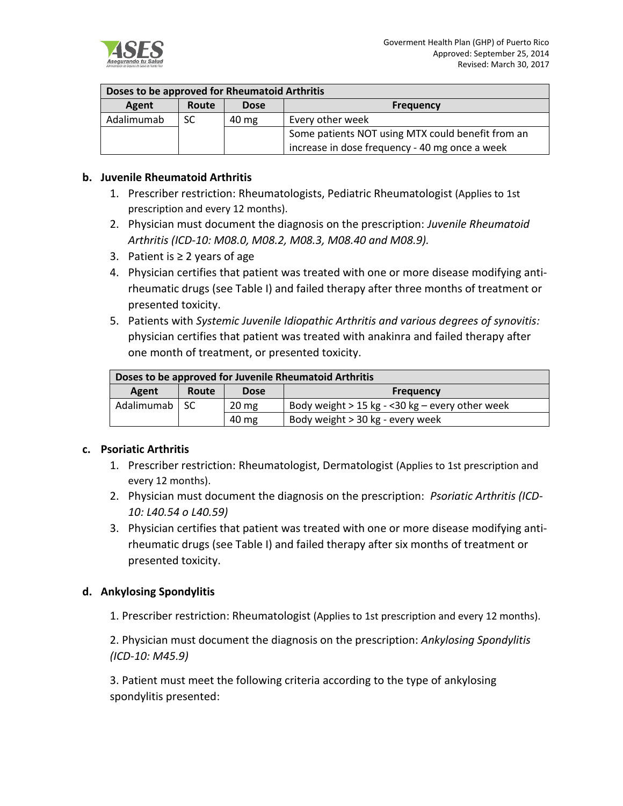

#### **Doses to be approved for Rheumatoid Arthritis**

| Agent      | <b>Route</b> | <b>Dose</b>     | <b>Frequency</b>                                  |
|------------|--------------|-----------------|---------------------------------------------------|
| Adalimumab | SC           | $40 \text{ mg}$ | Every other week                                  |
|            |              |                 | Some patients NOT using MTX could benefit from an |
|            |              |                 | increase in dose frequency - 40 mg once a week    |

#### **b. Juvenile Rheumatoid Arthritis**

- 1. Prescriber restriction: Rheumatologists, Pediatric Rheumatologist (Applies to 1st prescription and every 12 months).
- 2. Physician must document the diagnosis on the prescription: *Juvenile Rheumatoid Arthritis (ICD-10: M08.0, M08.2, M08.3, M08.40 and M08.9).*
- 3. Patient is ≥ 2 years of age
- 4. Physician certifies that patient was treated with one or more disease modifying antirheumatic drugs (see Table I) and failed therapy after three months of treatment or presented toxicity.
- 5. Patients with *Systemic Juvenile Idiopathic Arthritis and various degrees of synovitis:*  physician certifies that patient was treated with anakinra and failed therapy after one month of treatment, or presented toxicity.

| Doses to be approved for Juvenile Rheumatoid Arthritis |              |                 |                                                    |
|--------------------------------------------------------|--------------|-----------------|----------------------------------------------------|
| Agent                                                  | <b>Route</b> | <b>Dose</b>     | <b>Frequency</b>                                   |
| Adalimumab   SC                                        |              | $20 \text{ mg}$ | Body weight $> 15$ kg - < 30 kg – every other week |
|                                                        |              | 40 mg           | Body weight > 30 kg - every week                   |

#### **c. Psoriatic Arthritis**

- 1. Prescriber restriction: Rheumatologist, Dermatologist (Applies to 1st prescription and every 12 months).
- 2. Physician must document the diagnosis on the prescription: *Psoriatic Arthritis (ICD-10: L40.54 o L40.59)*
- 3. Physician certifies that patient was treated with one or more disease modifying antirheumatic drugs (see Table I) and failed therapy after six months of treatment or presented toxicity.

#### **d. Ankylosing Spondylitis**

1. Prescriber restriction: Rheumatologist (Applies to 1st prescription and every 12 months).

2. Physician must document the diagnosis on the prescription: *Ankylosing Spondylitis (ICD-10: M45.9)*

3. Patient must meet the following criteria according to the type of ankylosing spondylitis presented: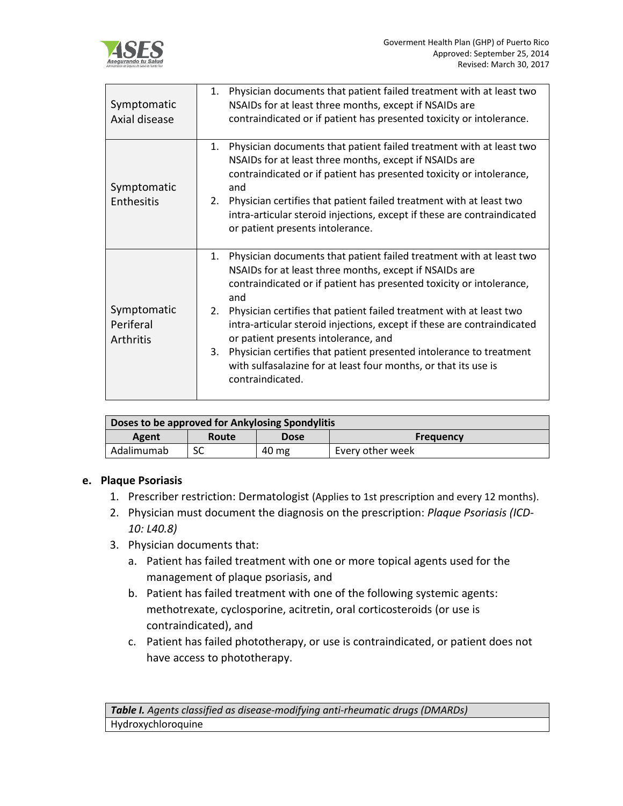

| Symptomatic<br>Axial disease          | Physician documents that patient failed treatment with at least two<br>1.<br>NSAIDs for at least three months, except if NSAIDs are<br>contraindicated or if patient has presented toxicity or intolerance.                                                                                                                                                                                                                                                                                                                                                                            |
|---------------------------------------|----------------------------------------------------------------------------------------------------------------------------------------------------------------------------------------------------------------------------------------------------------------------------------------------------------------------------------------------------------------------------------------------------------------------------------------------------------------------------------------------------------------------------------------------------------------------------------------|
| Symptomatic<br>Enthesitis             | Physician documents that patient failed treatment with at least two<br>1.<br>NSAIDs for at least three months, except if NSAIDs are<br>contraindicated or if patient has presented toxicity or intolerance,<br>and<br>Physician certifies that patient failed treatment with at least two<br>2.<br>intra-articular steroid injections, except if these are contraindicated<br>or patient presents intolerance.                                                                                                                                                                         |
| Symptomatic<br>Periferal<br>Arthritis | Physician documents that patient failed treatment with at least two<br>1.<br>NSAIDs for at least three months, except if NSAIDs are<br>contraindicated or if patient has presented toxicity or intolerance,<br>and<br>Physician certifies that patient failed treatment with at least two<br>2.<br>intra-articular steroid injections, except if these are contraindicated<br>or patient presents intolerance, and<br>Physician certifies that patient presented intolerance to treatment<br>3.<br>with sulfasalazine for at least four months, or that its use is<br>contraindicated. |

| Doses to be approved for Ankylosing Spondylitis |       |             |                  |  |
|-------------------------------------------------|-------|-------------|------------------|--|
| Agent                                           | Route | <b>Dose</b> | <b>Frequency</b> |  |
| Adalimumab                                      |       | 40 mg       | Every other week |  |

#### **e. Plaque Psoriasis**

- 1. Prescriber restriction: Dermatologist (Applies to 1st prescription and every 12 months).
- 2. Physician must document the diagnosis on the prescription: *Plaque Psoriasis (ICD-10: L40.8)*
- 3. Physician documents that:
	- a. Patient has failed treatment with one or more topical agents used for the management of plaque psoriasis, and
	- b. Patient has failed treatment with one of the following systemic agents: methotrexate, cyclosporine, acitretin, oral corticosteroids (or use is contraindicated), and
	- c. Patient has failed phototherapy, or use is contraindicated, or patient does not have access to phototherapy.

*Table I. Agents classified as disease-modifying anti-rheumatic drugs (DMARDs)*  Hydroxychloroquine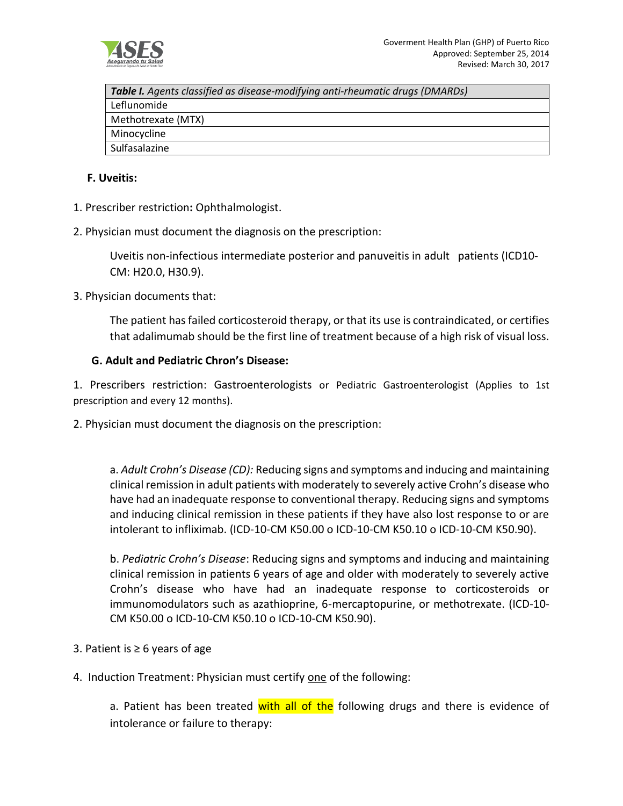

| <b>Table I.</b> Agents classified as disease-modifying anti-rheumatic drugs (DMARDs) |
|--------------------------------------------------------------------------------------|
| Leflunomide                                                                          |
| Methotrexate (MTX)                                                                   |
| Minocycline                                                                          |
| Sulfasalazine                                                                        |
|                                                                                      |

#### **F. Uveitis:**

- 1. Prescriber restriction**:** Ophthalmologist.
- 2. Physician must document the diagnosis on the prescription:

Uveitis non-infectious intermediate posterior and panuveitis in adult patients (ICD10- CM: H20.0, H30.9).

3. Physician documents that:

The patient has failed corticosteroid therapy, or that its use is contraindicated, or certifies that adalimumab should be the first line of treatment because of a high risk of visual loss.

#### **G. Adult and Pediatric Chron's Disease:**

1. Prescribers restriction: Gastroenterologists or Pediatric Gastroenterologist (Applies to 1st prescription and every 12 months).

2. Physician must document the diagnosis on the prescription:

a. *Adult Crohn's Disease (CD):* Reducing signs and symptoms and inducing and maintaining clinical remission in adult patients with moderately to severely active Crohn's disease who have had an inadequate response to conventional therapy. Reducing signs and symptoms and inducing clinical remission in these patients if they have also lost response to or are intolerant to infliximab. (ICD-10-CM K50.00 o ICD-10-CM K50.10 o ICD-10-CM K50.90).

b. *Pediatric Crohn's Disease*: Reducing signs and symptoms and inducing and maintaining clinical remission in patients 6 years of age and older with moderately to severely active Crohn's disease who have had an inadequate response to corticosteroids or immunomodulators such as azathioprine, 6-mercaptopurine, or methotrexate. (ICD-10- CM K50.00 o ICD-10-CM K50.10 o ICD-10-CM K50.90).

- 3. Patient is ≥ 6 years of age
- 4. Induction Treatment: Physician must certify one of the following:

a. Patient has been treated with all of the following drugs and there is evidence of intolerance or failure to therapy: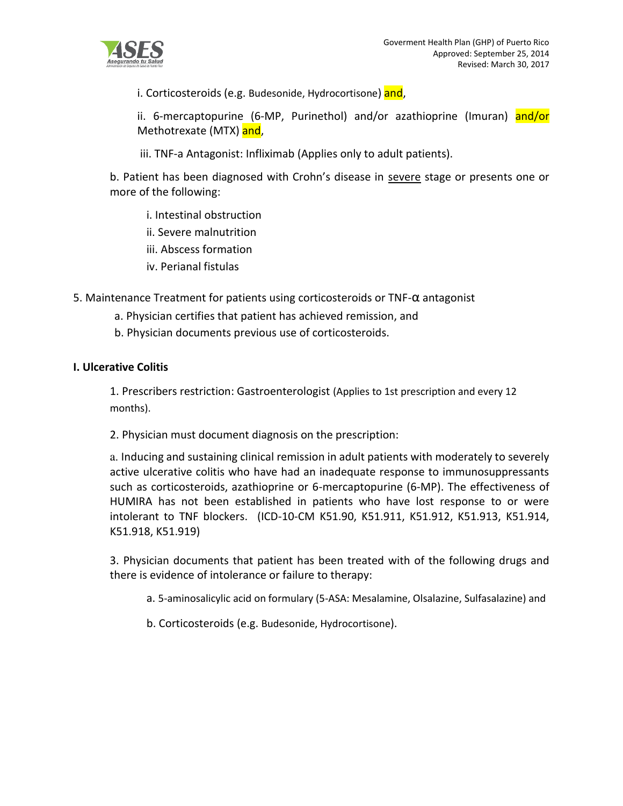i. Corticosteroids (e.g. Budesonide, Hydrocortisone) and,

ii. 6-mercaptopurine (6-MP, Purinethol) and/or azathioprine (Imuran) and/or Methotrexate (MTX) and,

iii. TNF-a Antagonist: Infliximab (Applies only to adult patients).

b. Patient has been diagnosed with Crohn's disease in severe stage or presents one or more of the following:

- i. Intestinal obstruction
- ii. Severe malnutrition
- iii. Abscess formation
- iv. Perianal fistulas

5. Maintenance Treatment for patients using corticosteroids or TNF-α antagonist

- a. Physician certifies that patient has achieved remission, and
- b. Physician documents previous use of corticosteroids.

#### **I. Ulcerative Colitis**

1. Prescribers restriction: Gastroenterologist (Applies to 1st prescription and every 12 months).

2. Physician must document diagnosis on the prescription:

a. Inducing and sustaining clinical remission in adult patients with moderately to severely active ulcerative colitis who have had an inadequate response to immunosuppressants such as corticosteroids, azathioprine or 6-mercaptopurine (6-MP). The effectiveness of HUMIRA has not been established in patients who have lost response to or were intolerant to TNF blockers. (ICD-10-CM K51.90, K51.911, K51.912, K51.913, K51.914, K51.918, K51.919)

3. Physician documents that patient has been treated with of the following drugs and there is evidence of intolerance or failure to therapy:

a. 5-aminosalicylic acid on formulary (5-ASA: Mesalamine, Olsalazine, Sulfasalazine) and

b. Corticosteroids (e.g. Budesonide, Hydrocortisone).